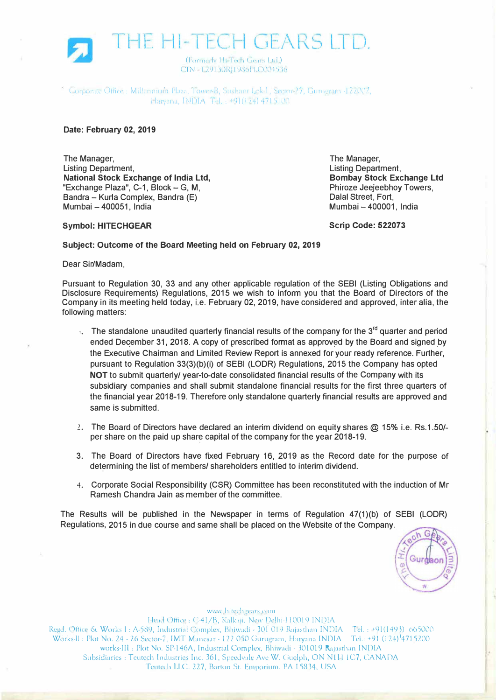

Lorporate Office: Millenmum Plaza, Tower-B, Sushant Lok I, Sector-27, Gurugram -122002,  $\text{Harvana}, \text{INDIA}$  Tel.: 191(124) 4715100

## **Date: February 02, 2019**

The Manager, Listing Department, **National Stock Exchange of India Ltd,**  "Exchange Plaza",  $C-1$ , Block  $-G$ , M, Bandra - Kurla Complex, Bandra (E) Mumbai - 400051, India

The Manager, Listing Department, **Bombay Stock Exchange Ltd**  Phiroze Jeejeebhoy Towers, Dalal Street, Fort, Mumbai - 400001, India

## **Symbol: HITECHGEAR**

**Scrip Code: 522073** 

## **Subject: Outcome of the Board Meeting held on February 02, 2019**

Dear Sir/Madam,

Pursuant to Regulation 30, 33 and any other applicable regulation of the SEBI (Listing Obligations and Disclosure Requirements) Regulations, 2015 we wish to infonn you that the Board of Directors of the Company in its meeting held today, i.e. February 02, 2019, have considered and approved, inter alia, the following matters:

- $\cdot$ . The standalone unaudited quarterly financial results of the company for the 3<sup>rd</sup> quarter and period ended December 31, 2018. A copy of prescribed format as approved by the Board and signed by the Executive Chairman and Limited Review Report is annexed for your ready reference. Further, pursuant to Regulation 33(3)(b)(i) of SEBI (LODR) Regulations, 2015 the Company has opted **NOT** to submit quarterly/ year-to-date consolidated financial results of the Company with its subsidiary companies and shall submit standalone financial results for the first three quarters of the financial year 2018-19. Therefore only standalone quarterly financial results are approved and same is submitted.
- 2. The Board of Directors have declared an interim dividend on equity shares @ 15% i.e. Rs.1.50/ per share on the paid up share capital of the company for the year 2018-19.
- 3. The Board of Directors have fixed February 16, 2019 as the Record date for the purpose of determining the list of members/ shareholders entitled to interim dividend.
- 4. Corporate Social Responsibility (CSR) Committee has been reconstituted with the induction of Mr Ramesh Chandra Jain as member of the committee.

The Results will be published in the Newspaper in terms of Regulation 47(1)(b) of SEBI (LODR) Regulations, 2015 in due course and same shall be placed on the Website of the Company.

Gurd

www.hitechgears.com Head Office: C-41/B, Kalkaji, New Delhi-110019 INDIA Regd. Office & Works I : A-589, Industrial Complex, Bhiwadi - 301 019 Rajasthan INDIA - Tel. : +91(1493)-665000 Works-ll: Plot No. 24 - 26 Sector-7, IMT Manesar - 122 050 Gurugram, Haryana INDIA Tel.: +91 (124) <sup>1</sup>4715200 works-III: Plot No. SP-146A, Industrial Complex, Bhiwadi - 301019 Rajasthan INDIA Subsidiaries: Teutech Industries Inc. 361, Speedvale Ave W. Guelph, ON NIH IC7, CANADA Teutech LLC. 227, Barton St. Emporium. PA 15834; USA